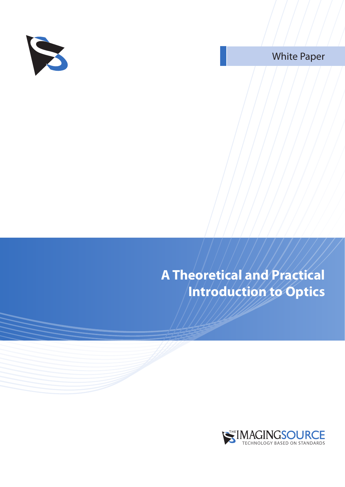

White Paper

**A Theoretical and Practical Introduction to Optics**

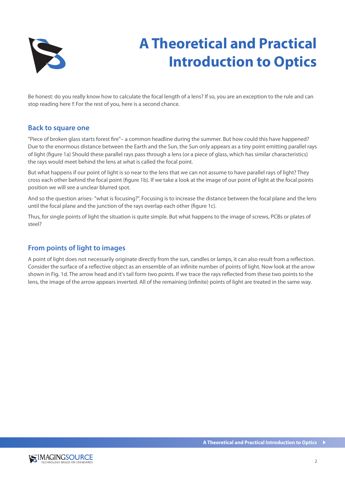

Be honest: do you really know how to calculate the focal length of a lens? If so, you are an exception to the rule and can stop reading here !! For the rest of you, here is a second chance.

#### **Back to square one**

"Piece of broken glass starts forest fire"– a common headline during the summer. But how could this have happened? Due to the enormous distance between the Earth and the Sun, the Sun only appears as a tiny point emitting parallel rays of light (figure 1a) Should these parallel rays pass through a lens (or a piece of glass, which has similar characteristics) the rays would meet behind the lens at what is called the focal point.

But what happens if our point of light is so near to the lens that we can not assume to have parallel rays of light? They cross each other behind the focal point (figure 1b). If we take a look at the image of our point of light at the focal points position we will see a unclear blurred spot.

And so the question arises- "what is focusing?". Focusing is to increase the distance between the focal plane and the lens until the focal plane and the junction of the rays overlap each other (figure 1c).

Thus, for single points of light the situation is quite simple. But what happens to the image of screws, PCBs or plates of steel?

### **From points of light to images**

A point of light does not necessarily originate directly from the sun, candles or lamps, it can also result from a reflection. Consider the surface of a reflective object as an ensemble of an infinite number of points of light. Now look at the arrow shown in Fig. 1d. The arrow head and it's tail form two points. If we trace the rays reflected from these two points to the lens, the image of the arrow appears inverted. All of the remaining (infinite) points of light are treated in the same way.

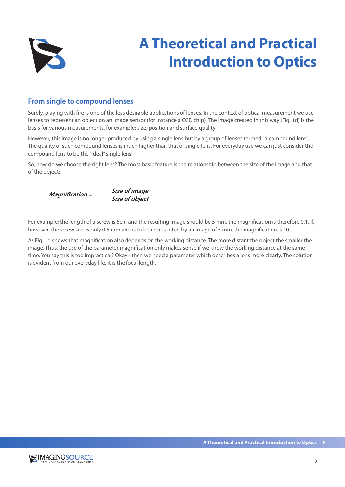

#### **From single to compound lenses**

Surely, playing with fire is one of the less desirable applications of lenses. In the context of optical measurement we use lenses to represent an object on an image sensor (for instance a CCD chip). The image created in this way (Fig. 1d) is the basis for various measurements, for example: size, position and surface quality.

However, this image is no longer produced by using a single lens but by a group of lenses termed "a compound lens". The quality of such compound lenses is much higher than that of single lens. For everyday use we can just consider the compound lens to be the "Ideal" single lens.

So, how do we choose the right lens? The most basic feature is the relationship between the size of the image and that of the object:



For example; the length of a screw is 5cm and the resulting image should be 5 mm, the magnification is therefore 0.1. If, however, the screw size is only 0.5 mm and is to be represented by an image of 5 mm, the magnification is 10.

As Fig. 1d shows that magnification also depends on the working distance. The more distant the object the smaller the image. Thus, the use of the parameter magnification only makes sense if we know the working distance at the same time. You say this is too impractical? Okay - then we need a parameter which describes a lens more clearly. The solution is evident from our everyday life, it is the focal length.

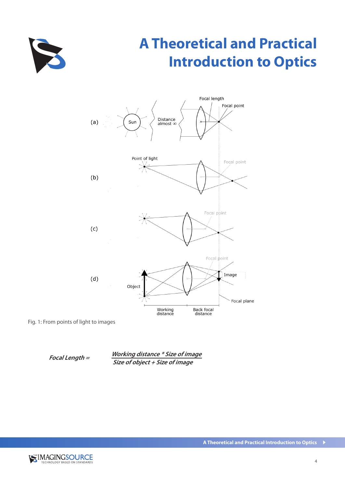



Fig. 1: From points of light to images

**Focal Length = Working distance \* Size of image Size of object + Size of image**

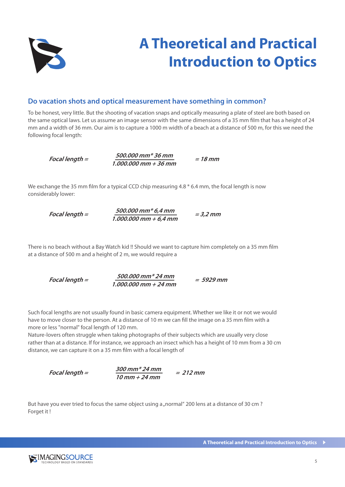

#### **Do vacation shots and optical measurement have something in common?**

To be honest, very little. But the shooting of vacation snaps and optically measuring a plate of steel are both based on the same optical laws. Let us assume an image sensor with the same dimensions of a 35 mm film that has a height of 24 mm and a width of 36 mm. Our aim is to capture a 1000 m width of a beach at a distance of 500 m, for this we need the following focal length:

**Focal length =**   $\frac{500.000 \text{ mm} * 36 \text{ mm}}{1.000.000 \text{ mm} + 36 \text{ mm}} = 18 \text{ mm}$ 

We exchange the 35 mm film for a typical CCD chip measuring 4.8  $*$  6.4 mm, the focal length is now considerably lower:

$$
Focal length = \frac{500.000 \text{ mm} * 6.4 \text{ mm}}{1.000.000 \text{ mm} + 6.4 \text{ mm}} = 3.2 \text{ mm}
$$

There is no beach without a Bay Watch kid !! Should we want to capture him completely on a 35 mm film at a distance of 500 m and a height of 2 m, we would require a

**Focal length = 500.000 mm\* 24 mm = 5929 mm 1.000.000 mm + 24 mm**

Such focal lengths are not usually found in basic camera equipment. Whether we like it or not we would have to move closer to the person. At a distance of 10 m we can fill the image on a 35 mm film with a more or less "normal" focal length of 120 mm.

Nature-lovers often struggle when taking photographs of their subjects which are usually very close rather than at a distance. If for instance, we approach an insect which has a height of 10 mm from a 30 cm distance, we can capture it on a 35 mm film with a focal length of

**Focal length =** 

 $\frac{300 \text{ mm} * 24 \text{ mm}}{10 \text{ mm} + 24 \text{ mm}}$  = 212 mm

But have you ever tried to focus the same object using a "normal" 200 lens at a distance of 30 cm? Forget it !

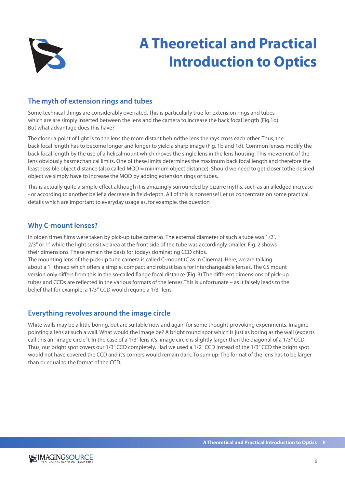

### **The myth of extension rings and tubes**

Some technical things are considerably overrated. This is particularly true for extension rings and tubes which are are simply inserted between the lens and the camera to increase the back focal length (Fig.1d). But what advantage does this have?

The closer a point of light is to the lens the more distant behindthe lens the rays cross each other. Thus, the back focal length has to become longer and longer to yield a sharp image (Fig. 1b and 1d). Common lenses modify the back focal length by the use of a helicalmount which moves the single lens in the lens housing. This movement of the lens obviously hasmechanical limits. One of these limits determines the maximum back focal length and therefore the leastpossible object distance (also called MOD = minimum object distance). Should we need to get closer tothe desired object we simply have to increase the MOD by adding extension rings or tubes.

This is actually quite a simple effect although it is amazingly surrounded by bizarre myths, such as an alledged increase - or according to another belief a decrease in field-depth. All of this is nonsense! Let us concentrate on some practical details which are important to everyday usage as, for example, the question

### **Why C-mount lenses?**

In olden times films were taken by pick-up tube cameras. The external diameter of such a tube was 1/2", 2/3" or 1" while the light sensitive area at the front side of the tube was accordingly smaller. Fig. 2 shows their dimensions. These remain the basis for todays dominating CCD chips.

The mounting lens of the pick-up tube camera is called C-mount (C as in Cinema). Here, we are talking about a 1" thread which offers a simple, compact and robust basis for interchangeable lenses. The CS mount version only differs from this in the so-called flange focal distance (Fig. 3).The different dimensions of pick-up tubes and CCDs are reflected in the various formats of the lenses.This is unfortunate – as it falsely leads to the belief that for example: a 1/3" CCD would require a 1/3" lens.

### **Everything revolves around the image circle**

White walls may be a little boring, but are suitable now and again for some thought-provoking experiments. Imagine pointing a lens at such a wall. What would the image be? A bright round spot which is just as boring as the wall (experts call this an "image circle"). In the case of a 1/3" lens it's image circle is slightly larger than the diagonal of a 1/3" CCD. Thus, our bright spot covers our 1/3" CCD completely. Had we used a 1/2" CCD instead of the 1/3" CCD the bright spot would not have covered the CCD and it's corners would remain dark. To sum up: The format of the lens has to be larger than or equal to the format of the CCD.

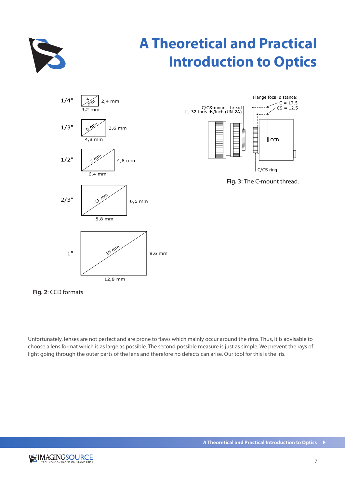





**Fig. 3:** The C-mount thread.

**Fig. 2**: CCD formats

Unfortunately, lenses are not perfect and are prone to flaws which mainly occur around the rims. Thus, it is advisable to choose a lens format which is as large as possible. The second possible measure is just as simple. We prevent the rays of light going through the outer parts of the lens and therefore no defects can arise. Our tool for this is the iris.

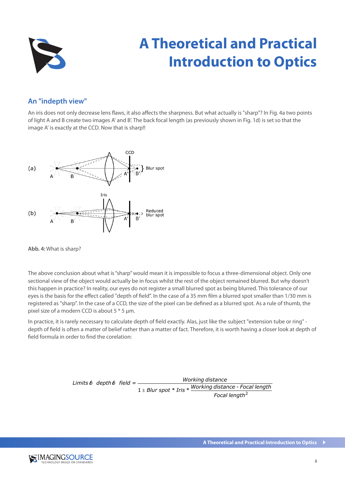

### **An "indepth view"**

An iris does not only decrease lens flaws, it also affects the sharpness. But what actually is "sharp"? In Fig. 4a two points of light A and B create two images A' and B'. The back focal length (as previously shown in Fig. 1d) is set so that the image A' is exactly at the CCD. Now that is sharp!!



**Abb. 4:** What is sharp?

The above conclusion about what is "sharp" would mean it is impossible to focus a three-dimensional object. Only one sectional view of the object would actually be in focus whilst the rest of the object remained blurred. But why doesn't this happen in practice? In reality, our eyes do not register a small blurred spot as being blurred. This tolerance of our eyes is the basis for the effect called "depth of field". In the case of a 35 mm film a blurred spot smaller than 1/30 mm is registered as "sharp". In the case of a CCD, the size of the pixel can be defined as a blurred spot. As a rule of thumb, the pixel size of a modern CCD is about 5  $*$  5 µm.

In practice, it is rarely necessary to calculate depth of field exactly. Alas, just like the subject "extension tube or ring" depth of field is often a matter of belief rather than a matter of fact. Therefore, it is worth having a closer look at depth of field formula in order to find the corelation:

> $=\frac{1}{1 \pm Blur\ spot*Tris*\frac{Working\ distance - Foc}{Focal\ length^2}}$ *Focal length Working distance Focal length Blur spot Iris Working distance Limits of depth of field* ±

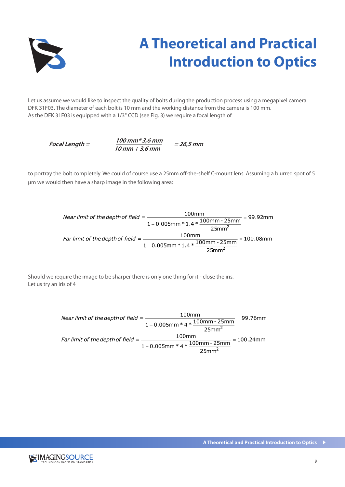

Let us assume we would like to inspect the quality of bolts during the production process using a megapixel camera DFK 31F03. The diameter of each bolt is 10 mm and the working distance from the camera is 100 mm. As the DFK 31F03 is equipped with a 1/3" CCD (see Fig. 3) we require a focal length of

**Focal Length = 100 mm\* 3,6 mm = 26,5 mm 10 mm + 3,6 mm**

to portray the bolt completely. We could of course use a 25mm off-the-shelf C-mount lens. Assuming a blurred spot of 5 µm we would then have a sharp image in the following area:

Near limit of the depth of field =  $\frac{100 \text{mm}}{1 + 0.005 \text{mm} * 1.4 * \frac{100 \text{mm} - 25 \text{mm}}{25 \text{mm}^2}} = 99.92 \text{mm}$ <br>Far limit of the depth of field =  $\frac{100 \text{mm}}{1 - 0.005 \text{mm} * 1.4 * \frac{100 \text{mm} - 25 \text{mm}}{25 \text{mm}^2}} = 100.08 \text{mm$ 

Should we require the image to be sharper there is only one thing for it - close the iris. Let us try an iris of 4

> Near limit of the depth of field =  $\frac{100 \text{mm}}{1 + 0.005 \text{mm} * 4 * \frac{100 \text{mm} - 25 \text{mm}}{25 \text{mm}^2}}$  = 99.76mm Near limit of the depth of field =  $\frac{1 + 0.005 \text{mm} \times 4 \times \frac{100 \text{mm} - 25 \text{mm}}{25 \text{mm}^2}}{1 + 0.005 \text{mm} \times 4 \times \frac{100 \text{mm} - 25 \text{mm}}{25 \text{mm}^2}} = 99.76 \text{mm}$ <br>Far limit of the depth of field =  $\frac{100 \text{mm}}{1 - 0.005 \text{mm} \times 4 \times \$

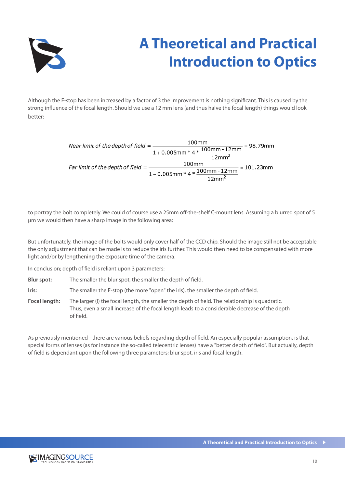

Although the F-stop has been increased by a factor of 3 the improvement is nothing significant. This is caused by the strong influence of the focal length. Should we use a 12 mm lens (and thus halve the focal length) things would look better:

> *Near limit of the depth of field* =  $\frac{100 \text{mm}}{1 + 0.005 \text{mm} * 4 * \frac{100 \text{mm} - 12 \text{mm}}{12 \text{mm}^2}} = 98.79 \text{mm}$  $1 + 0.005$ mm \* 4 \*  $\frac{12$ mm<br>12mm<sup>2</sup><br>Far limit of the depth of field =  $\frac{100$ mm<br>100mm  $\frac{12}{12}$  = 101.23mm<br>12mm<sup>2</sup>

to portray the bolt completely. We could of course use a 25mm off-the-shelf C-mount lens. Assuming a blurred spot of 5 µm we would then have a sharp image in the following area:

But unfortunately, the image of the bolts would only cover half of the CCD chip. Should the image still not be acceptable the only adjustment that can be made is to reduce the iris further. This would then need to be compensated with more light and/or by lengthening the exposure time of the camera.

In conclusion; depth of field is reliant upon 3 parameters:

- **Blur spot:** The smaller the blur spot, the smaller the depth of field.
- **Iris:** The smaller the F-stop (the more "open" the iris), the smaller the depth of field.

**Focal length:** The larger (!) the focal length, the smaller the depth of field. The relationship is quadratic. Thus, even a small increase of the focal length leads to a considerable decrease of the depth of field.

As previously mentioned - there are various beliefs regarding depth of field. An especially popular assumption, is that special forms of lenses (as for instance the so-called telecentric lenses) have a "better depth of field". But actually, depth of field is dependant upon the following three parameters; blur spot, iris and focal length.